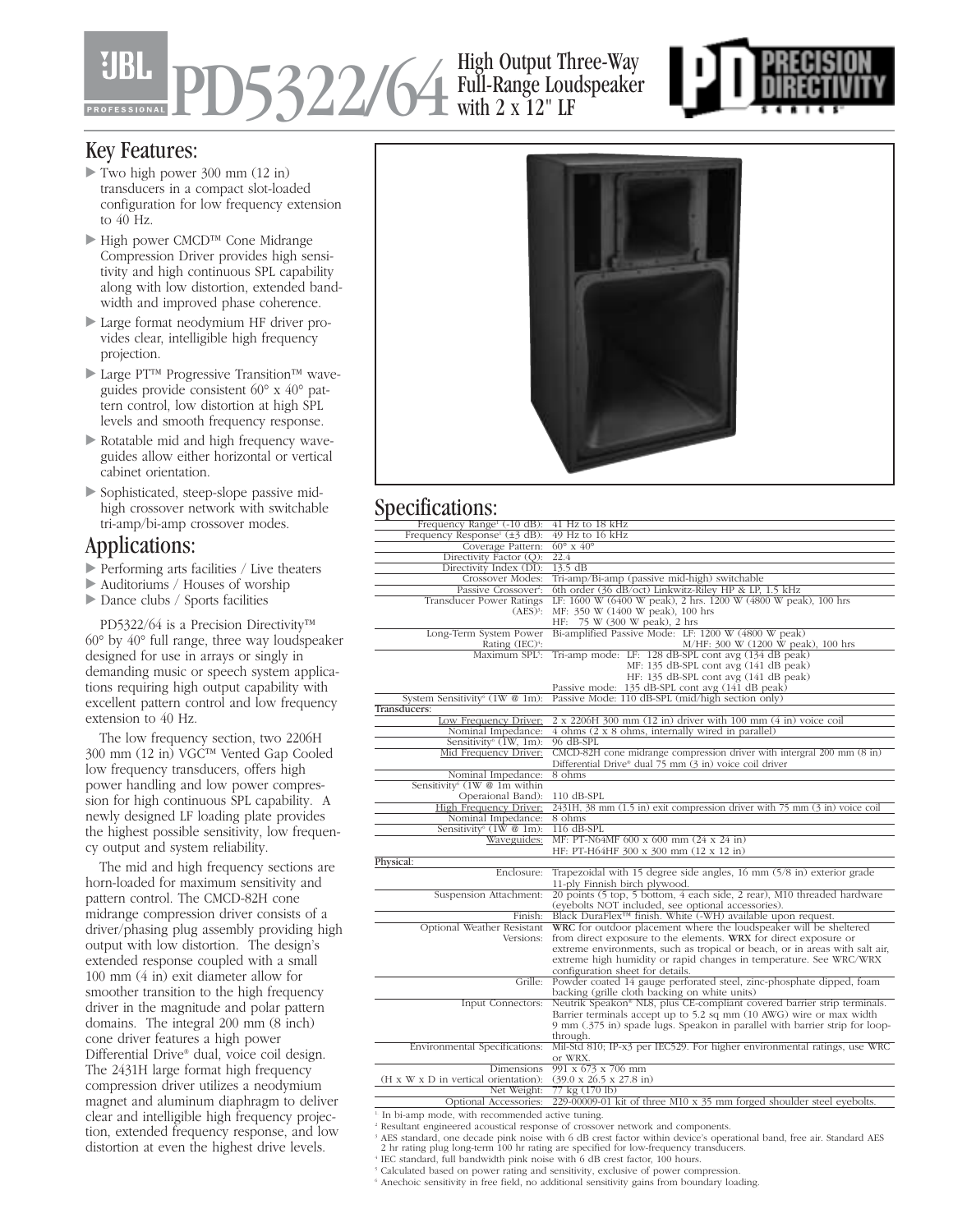PD5322/64 High Output Three-Way Full-Range Loudspeaker with 2 x 12" LF



## Key Features:

- Two high power 300 mm (12 in) transducers in a compact slot-loaded configuration for low frequency extension to 40 Hz.
- High power CMCD™ Cone Midrange Compression Driver provides high sensitivity and high continuous SPL capability along with low distortion, extended bandwidth and improved phase coherence.
- Large format neodymium HF driver provides clear, intelligible high frequency projection.
- Large PT™ Progressive Transition™ waveguides provide consistent 60° x 40° pattern control, low distortion at high SPL levels and smooth frequency response.
- Rotatable mid and high frequency waveguides allow either horizontal or vertical cabinet orientation.
- Sophisticated, steep-slope passive midhigh crossover network with switchable tri-amp/bi-amp crossover modes.

## Applications:

- Performing arts facilities / Live theaters
- Auditoriums / Houses of worship
- Dance clubs / Sports facilities

PD5322/64 is a Precision Directivity™ 60° by 40° full range, three way loudspeaker designed for use in arrays or singly in demanding music or speech system applications requiring high output capability with excellent pattern control and low frequency extension to 40 Hz.

The low frequency section, two 2206H 300 mm (12 in) VGC™ Vented Gap Cooled low frequency transducers, offers high power handling and low power compression for high continuous SPL capability. A newly designed LF loading plate provides the highest possible sensitivity, low frequency output and system reliability.

The mid and high frequency sections are horn-loaded for maximum sensitivity and pattern control. The CMCD-82H cone midrange compression driver consists of a driver/phasing plug assembly providing high output with low distortion. The design's extended response coupled with a small 100 mm (4 in) exit diameter allow for smoother transition to the high frequency driver in the magnitude and polar pattern domains. The integral 200 mm (8 inch) cone driver features a high power Differential Drive® dual, voice coil design. The 2431H large format high frequency compression driver utilizes a neodymium magnet and aluminum diaphragm to deliver clear and intelligible high frequency projection, extended frequency response, and low distortion at even the highest drive levels.



## Specifications:

| Frequency Range <sup>1</sup> (-10 dB):                       | 41 Hz to 18 kHz                                                                                                                               |
|--------------------------------------------------------------|-----------------------------------------------------------------------------------------------------------------------------------------------|
| Frequency Response <sup>1</sup> ( $\pm$ 3 dB):               | $49$ Hz to $16$ kHz                                                                                                                           |
| Coverage Pattern:                                            | $60^{\circ}$ x $40^{\circ}$                                                                                                                   |
| Directivity Factor (Q):                                      | 22.4                                                                                                                                          |
| Directivity Index (DI):                                      | $13.5 \text{ dB}$                                                                                                                             |
| Crossover Modes:                                             | Tri-amp/Bi-amp (passive mid-high) switchable                                                                                                  |
| Passive Crossover <sup>2</sup> :                             | 6th order (36 dB/oct) Linkwitz-Riley HP & LP, 1.5 kHz                                                                                         |
| Transducer Power Ratings                                     | LF: 1600 W (6400 W peak), 2 hrs. 1200 W (4800 W peak), 100 hrs                                                                                |
| $(AES)^3$ :                                                  | MF: 350 W (1400 W peak), 100 hrs                                                                                                              |
|                                                              | HF: 75 W (300 W peak), 2 hrs<br>Bi-amplified Passive Mode: LF: 1200 W (4800 W peak)                                                           |
| Long-Term System Power                                       |                                                                                                                                               |
| Rating (IEC) <sup>4</sup> :                                  | M/HF: 300 W (1200 W peak), 100 hrs<br>Tri-amp mode: LF: 128 dB-SPL cont avg (134 dB peak)                                                     |
| Maximum SPL5:                                                |                                                                                                                                               |
|                                                              | MF: 135 dB-SPL cont avg (141 dB peak)                                                                                                         |
|                                                              | HF: 135 dB-SPL cont avg (141 dB peak)                                                                                                         |
|                                                              | Passive mode: 135 dB-SPL cont avg (141 dB peak)<br>Passive Mode: 110 dB-SPL (mid/high section only)                                           |
| System Sensitivity <sup>6</sup> (1W $@$ 1m):<br>Transducers: |                                                                                                                                               |
|                                                              |                                                                                                                                               |
| Low Frequency Driver:<br>Nominal Impedance:                  | 2 x 2206H 300 mm (12 in) driver with 100 mm (4 in) voice coil<br>4 ohms (2 x 8 ohms, internally wired in parallel)                            |
| Sensitivity <sup>6</sup> $(1W, 1m)$ :                        | 96 dB-SPL                                                                                                                                     |
| Mid Frequency Driver:                                        |                                                                                                                                               |
|                                                              | $CMCD-82H$ cone midrange compression driver with intergral 200 mm $(8 \text{ in})$<br>Differential Drive® dual 75 mm (3 in) voice coil driver |
| Nominal Impedance:                                           | $8 \text{ ohms}$                                                                                                                              |
| Sensitivity <sup>6</sup> $(1W \otimes 1m$ within             |                                                                                                                                               |
| Operaional Band):                                            | $110$ dB-SPL                                                                                                                                  |
| High Frequency Driver:                                       | $2431H$ , $38$ mm $(1.5$ in) exit compression driver with $75$ mm $(3$ in) voice coil                                                         |
| Nominal Impedance:                                           | 8 ohms                                                                                                                                        |
| Sensitivity <sup>6</sup> (1W @ 1m):                          | 116 dB-SPL                                                                                                                                    |
| Waveguides:                                                  | MF: PT-N64MF 600 x 600 mm (24 x 24 in)                                                                                                        |
|                                                              | HF: PT-H64HF 300 x 300 mm (12 x 12 in)                                                                                                        |
| Physical:                                                    |                                                                                                                                               |
| Enclosure:                                                   | Trapezoidal with 15 degree side angles, $16 \text{ mm } (5/8 \text{ in})$ exterior grade                                                      |
|                                                              | 11-ply Finnish birch plywood.                                                                                                                 |
| Suspension Attachment:                                       | 20 points (5 top, 5 bottom, 4 each side, 2 rear), M10 threaded hardware                                                                       |
|                                                              | (eyebolts NOT included, see optional accessories).                                                                                            |
| Finish:                                                      | Black DuraFlex <sup>™</sup> finish. White (-WH) available upon request.                                                                       |
| Optional Weather Resistant                                   | WRC for outdoor placement where the loudspeaker will be sheltered                                                                             |
| Versions:                                                    | from direct exposure to the elements. WRX for direct exposure or                                                                              |
|                                                              | extreme environments, such as tropical or beach, or in areas with salt air,                                                                   |
|                                                              | extreme high humidity or rapid changes in temperature. See WRC/WRX                                                                            |
|                                                              | configuration sheet for details.                                                                                                              |
| Grille:                                                      | Powder coated 14 gauge perforated steel, zinc-phosphate dipped, foam                                                                          |
|                                                              | backing (grille cloth backing on white units)                                                                                                 |
| Input Connectors:                                            | Neutrik Speakon® NL8, plus CE-compliant covered barrier strip terminals.                                                                      |
|                                                              | Barrier terminals accept up to 5.2 sq mm (10 AWG) wire or max width                                                                           |
|                                                              | 9 mm (.375 in) spade lugs. Speakon in parallel with barrier strip for loop-                                                                   |
|                                                              | through.                                                                                                                                      |
| Environmental Specifications:                                | Mil-Std 810; IP-x3 per IEC529. For higher environmental ratings, use WRC                                                                      |
|                                                              | or WRX.                                                                                                                                       |
| Dimensions                                                   | $991 \times 673 \times 706$ mm                                                                                                                |
| (H x W x D in vertical orientation):                         | $(39.0 \times 26.5 \times 27.8 \text{ in})$                                                                                                   |
| Net Weight:                                                  | 77 kg (170 lb)                                                                                                                                |
| Optional Accessories:                                        | $229-00009-01$ kit of three M10 x 35 mm forged shoulder steel eyebolts.                                                                       |
|                                                              |                                                                                                                                               |

<sup>1.</sup> In bi-amp mode, with recommended active tuning.

<sup>2</sup> Resultant engineered acoustical response of crossover network and components.

<sup>5</sup> Calculated based on power rating and sensitivity, exclusive of power compression.

<sup>6</sup> Anechoic sensitivity in free field, no additional sensitivity gains from boundary loading.

<sup>&</sup>lt;sup>3</sup> AES standard, one decade pink noise with 6 dB crest factor within device's operational band, free air. Standard AES 2 hr rating plug long-term 100 hr rating are specified for low-frequency transducers. <sup>4</sup> IEC standard, full bandwidth pink noise with 6 dB crest factor, 100 hours.